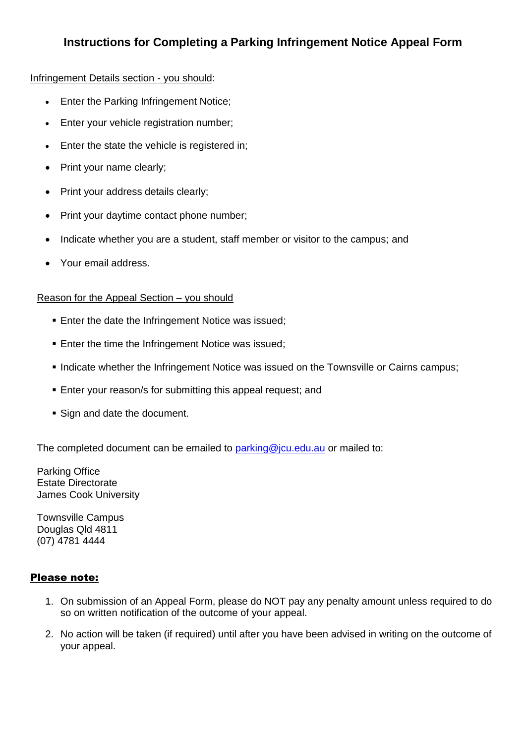## **Instructions for Completing a Parking Infringement Notice Appeal Form**

## Infringement Details section - you should:

- **Enter the Parking Infringement Notice;**
- **Enter your vehicle registration number;**
- Enter the state the vehicle is registered in;
- Print your name clearly;
- Print your address details clearly;
- Print your daytime contact phone number;
- Indicate whether you are a student, staff member or visitor to the campus; and
- Your email address.

## Reason for the Appeal Section – you should

- **Enter the date the Infringement Notice was issued;**
- **Enter the time the Infringement Notice was issued;**
- Indicate whether the Infringement Notice was issued on the Townsville or Cairns campus;
- Enter your reason/s for submitting this appeal request; and
- **Sign and date the document.**

The completed document can be emailed to [parking@jcu.edu.au](mailto:parking@jcu.edu.au) or mailed to:

Parking Office Estate Directorate James Cook University

Townsville Campus Douglas Qld 4811 (07) 4781 4444

## Please note:

- 1. On submission of an Appeal Form, please do NOT pay any penalty amount unless required to do so on written notification of the outcome of your appeal.
- 2. No action will be taken (if required) until after you have been advised in writing on the outcome of your appeal.